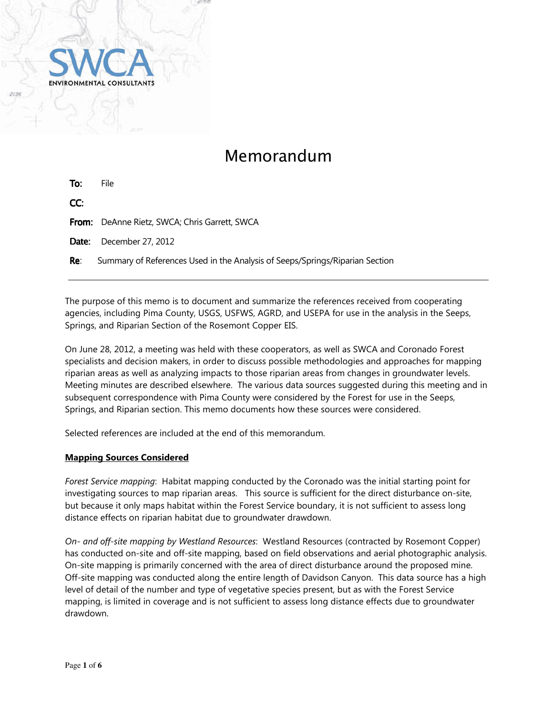

# Memorandum

| To: | File                                                                         |
|-----|------------------------------------------------------------------------------|
| CC: |                                                                              |
|     | From: DeAnne Rietz, SWCA; Chris Garrett, SWCA                                |
|     | <b>Date:</b> December 27, 2012                                               |
| Re: | Summary of References Used in the Analysis of Seeps/Springs/Riparian Section |

The purpose of this memo is to document and summarize the references received from cooperating agencies, including Pima County, USGS, USFWS, AGRD, and USEPA for use in the analysis in the Seeps, Springs, and Riparian Section of the Rosemont Copper EIS.

On June 28, 2012, a meeting was held with these cooperators, as well as SWCA and Coronado Forest specialists and decision makers, in order to discuss possible methodologies and approaches for mapping riparian areas as well as analyzing impacts to those riparian areas from changes in groundwater levels. Meeting minutes are described elsewhere. The various data sources suggested during this meeting and in subsequent correspondence with Pima County were considered by the Forest for use in the Seeps, Springs, and Riparian section. This memo documents how these sources were considered.

Selected references are included at the end of this memorandum.

### **Mapping Sources Considered**

*Forest Service mapping*: Habitat mapping conducted by the Coronado was the initial starting point for investigating sources to map riparian areas. This source is sufficient for the direct disturbance on-site, but because it only maps habitat within the Forest Service boundary, it is not sufficient to assess long distance effects on riparian habitat due to groundwater drawdown.

*On- and off-site mapping by Westland Resources*: Westland Resources (contracted by Rosemont Copper) has conducted on-site and off-site mapping, based on field observations and aerial photographic analysis. On-site mapping is primarily concerned with the area of direct disturbance around the proposed mine. Off-site mapping was conducted along the entire length of Davidson Canyon. This data source has a high level of detail of the number and type of vegetative species present, but as with the Forest Service mapping, is limited in coverage and is not sufficient to assess long distance effects due to groundwater drawdown.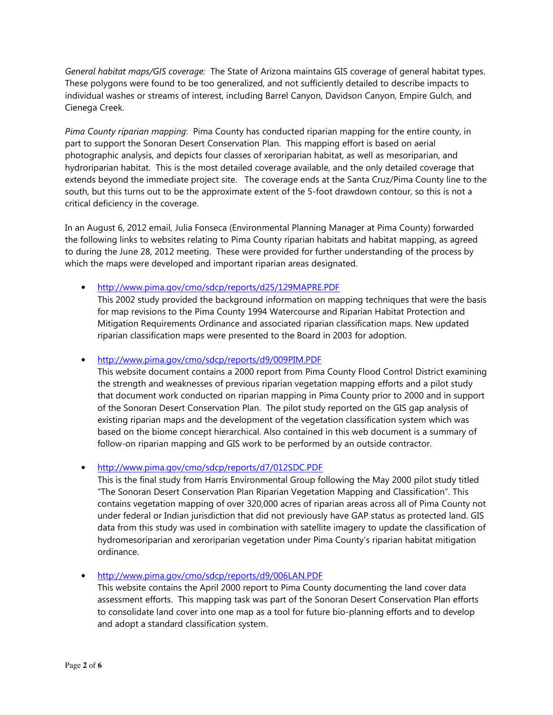*General habitat maps/GIS coverage:* The State of Arizona maintains GIS coverage of general habitat types. These polygons were found to be too generalized, and not sufficiently detailed to describe impacts to individual washes or streams of interest, including Barrel Canyon, Davidson Canyon, Empire Gulch, and Cienega Creek.

*Pima County riparian mapping*: Pima County has conducted riparian mapping for the entire county, in part to support the Sonoran Desert Conservation Plan. This mapping effort is based on aerial photographic analysis, and depicts four classes of xeroriparian habitat, as well as mesoriparian, and hydroriparian habitat. This is the most detailed coverage available, and the only detailed coverage that extends beyond the immediate project site. The coverage ends at the Santa Cruz/Pima County line to the south, but this turns out to be the approximate extent of the 5-foot drawdown contour, so this is not a critical deficiency in the coverage.

In an August 6, 2012 email, Julia Fonseca (Environmental Planning Manager at Pima County) forwarded the following links to websites relating to Pima County riparian habitats and habitat mapping, as agreed to during the June 28, 2012 meeting. These were provided for further understanding of the process by which the maps were developed and important riparian areas designated.

• http://www.pima.gov/cmo/sdcp/reports/d25/129MAPRE.PDF

This 2002 study provided the background information on mapping techniques that were the basis for map revisions to the Pima County 1994 Watercourse and Riparian Habitat Protection and Mitigation Requirements Ordinance and associated riparian classification maps. New updated riparian classification maps were presented to the Board in 2003 for adoption.

• http://www.pima.gov/cmo/sdcp/reports/d9/009PIM.PDF

This website document contains a 2000 report from Pima County Flood Control District examining the strength and weaknesses of previous riparian vegetation mapping efforts and a pilot study that document work conducted on riparian mapping in Pima County prior to 2000 and in support of the Sonoran Desert Conservation Plan. The pilot study reported on the GIS gap analysis of existing riparian maps and the development of the vegetation classification system which was based on the biome concept hierarchical. Also contained in this web document is a summary of follow-on riparian mapping and GIS work to be performed by an outside contractor.

• http://www.pima.gov/cmo/sdcp/reports/d7/012SDC.PDF

This is the final study from Harris Environmental Group following the May 2000 pilot study titled "The Sonoran Desert Conservation Plan Riparian Vegetation Mapping and Classification". This contains vegetation mapping of over 320,000 acres of riparian areas across all of Pima County not under federal or Indian jurisdiction that did not previously have GAP status as protected land. GIS data from this study was used in combination with satellite imagery to update the classification of hydromesoriparian and xeroriparian vegetation under Pima County's riparian habitat mitigation ordinance.

• http://www.pima.gov/cmo/sdcp/reports/d9/006LAN.PDF

This website contains the April 2000 report to Pima County documenting the land cover data assessment efforts. This mapping task was part of the Sonoran Desert Conservation Plan efforts to consolidate land cover into one map as a tool for future bio-planning efforts and to develop and adopt a standard classification system.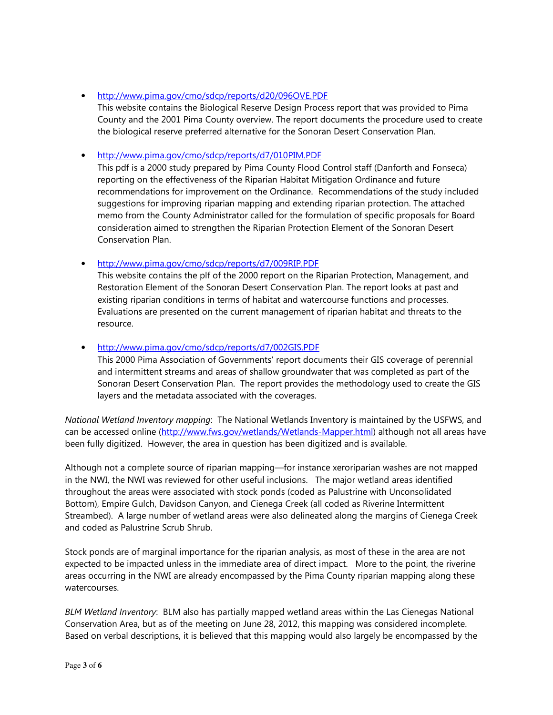### • http://www.pima.gov/cmo/sdcp/reports/d20/096OVE.PDF

This website contains the Biological Reserve Design Process report that was provided to Pima County and the 2001 Pima County overview. The report documents the procedure used to create the biological reserve preferred alternative for the Sonoran Desert Conservation Plan.

## • http://www.pima.gov/cmo/sdcp/reports/d7/010PIM.PDF

This pdf is a 2000 study prepared by Pima County Flood Control staff (Danforth and Fonseca) reporting on the effectiveness of the Riparian Habitat Mitigation Ordinance and future recommendations for improvement on the Ordinance. Recommendations of the study included suggestions for improving riparian mapping and extending riparian protection. The attached memo from the County Administrator called for the formulation of specific proposals for Board consideration aimed to strengthen the Riparian Protection Element of the Sonoran Desert Conservation Plan.

## • http://www.pima.gov/cmo/sdcp/reports/d7/009RIP.PDF

This website contains the plf of the 2000 report on the Riparian Protection, Management, and Restoration Element of the Sonoran Desert Conservation Plan. The report looks at past and existing riparian conditions in terms of habitat and watercourse functions and processes. Evaluations are presented on the current management of riparian habitat and threats to the resource.

## • http://www.pima.gov/cmo/sdcp/reports/d7/002GIS.PDF

This 2000 Pima Association of Governments' report documents their GIS coverage of perennial and intermittent streams and areas of shallow groundwater that was completed as part of the Sonoran Desert Conservation Plan. The report provides the methodology used to create the GIS layers and the metadata associated with the coverages.

*National Wetland Inventory mapping*: The National Wetlands Inventory is maintained by the USFWS, and can be accessed online (http://www.fws.gov/wetlands/Wetlands-Mapper.html) although not all areas have been fully digitized. However, the area in question has been digitized and is available.

Although not a complete source of riparian mapping—for instance xeroriparian washes are not mapped in the NWI, the NWI was reviewed for other useful inclusions. The major wetland areas identified throughout the areas were associated with stock ponds (coded as Palustrine with Unconsolidated Bottom), Empire Gulch, Davidson Canyon, and Cienega Creek (all coded as Riverine Intermittent Streambed). A large number of wetland areas were also delineated along the margins of Cienega Creek and coded as Palustrine Scrub Shrub.

Stock ponds are of marginal importance for the riparian analysis, as most of these in the area are not expected to be impacted unless in the immediate area of direct impact. More to the point, the riverine areas occurring in the NWI are already encompassed by the Pima County riparian mapping along these watercourses.

*BLM Wetland Inventory*: BLM also has partially mapped wetland areas within the Las Cienegas National Conservation Area, but as of the meeting on June 28, 2012, this mapping was considered incomplete. Based on verbal descriptions, it is believed that this mapping would also largely be encompassed by the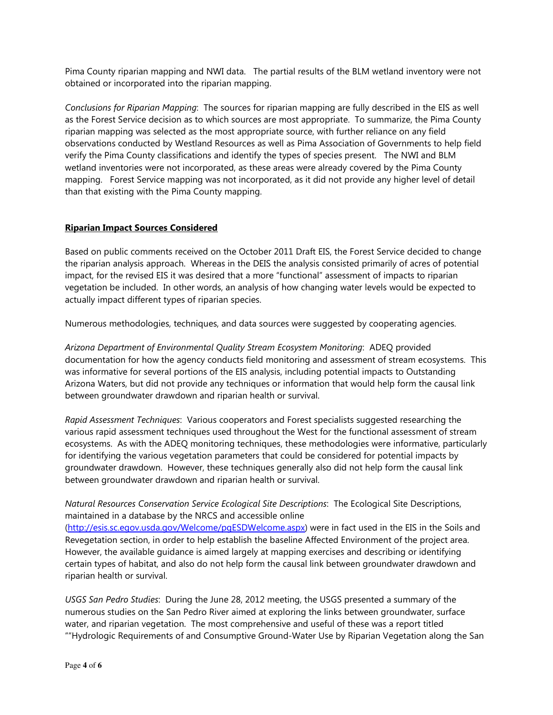Pima County riparian mapping and NWI data. The partial results of the BLM wetland inventory were not obtained or incorporated into the riparian mapping.

*Conclusions for Riparian Mapping*: The sources for riparian mapping are fully described in the EIS as well as the Forest Service decision as to which sources are most appropriate. To summarize, the Pima County riparian mapping was selected as the most appropriate source, with further reliance on any field observations conducted by Westland Resources as well as Pima Association of Governments to help field verify the Pima County classifications and identify the types of species present. The NWI and BLM wetland inventories were not incorporated, as these areas were already covered by the Pima County mapping. Forest Service mapping was not incorporated, as it did not provide any higher level of detail than that existing with the Pima County mapping.

### **Riparian Impact Sources Considered**

Based on public comments received on the October 2011 Draft EIS, the Forest Service decided to change the riparian analysis approach. Whereas in the DEIS the analysis consisted primarily of acres of potential impact, for the revised EIS it was desired that a more "functional" assessment of impacts to riparian vegetation be included. In other words, an analysis of how changing water levels would be expected to actually impact different types of riparian species.

Numerous methodologies, techniques, and data sources were suggested by cooperating agencies.

*Arizona Department of Environmental Quality Stream Ecosystem Monitoring*: ADEQ provided documentation for how the agency conducts field monitoring and assessment of stream ecosystems. This was informative for several portions of the EIS analysis, including potential impacts to Outstanding Arizona Waters, but did not provide any techniques or information that would help form the causal link between groundwater drawdown and riparian health or survival.

*Rapid Assessment Techniques*: Various cooperators and Forest specialists suggested researching the various rapid assessment techniques used throughout the West for the functional assessment of stream ecosystems. As with the ADEQ monitoring techniques, these methodologies were informative, particularly for identifying the various vegetation parameters that could be considered for potential impacts by groundwater drawdown. However, these techniques generally also did not help form the causal link between groundwater drawdown and riparian health or survival.

*Natural Resources Conservation Service Ecological Site Descriptions*: The Ecological Site Descriptions, maintained in a database by the NRCS and accessible online

(http://esis.sc.egov.usda.gov/Welcome/pgESDWelcome.aspx) were in fact used in the EIS in the Soils and Revegetation section, in order to help establish the baseline Affected Environment of the project area. However, the available guidance is aimed largely at mapping exercises and describing or identifying certain types of habitat, and also do not help form the causal link between groundwater drawdown and riparian health or survival.

*USGS San Pedro Studies*: During the June 28, 2012 meeting, the USGS presented a summary of the numerous studies on the San Pedro River aimed at exploring the links between groundwater, surface water, and riparian vegetation. The most comprehensive and useful of these was a report titled ""Hydrologic Requirements of and Consumptive Ground-Water Use by Riparian Vegetation along the San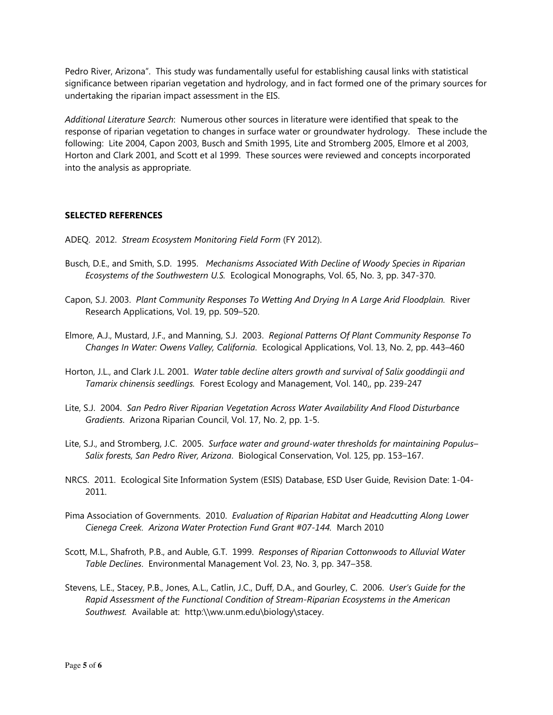Pedro River, Arizona". This study was fundamentally useful for establishing causal links with statistical significance between riparian vegetation and hydrology, and in fact formed one of the primary sources for undertaking the riparian impact assessment in the EIS.

*Additional Literature Search*: Numerous other sources in literature were identified that speak to the response of riparian vegetation to changes in surface water or groundwater hydrology. These include the following: Lite 2004, Capon 2003, Busch and Smith 1995, Lite and Stromberg 2005, Elmore et al 2003, Horton and Clark 2001, and Scott et al 1999. These sources were reviewed and concepts incorporated into the analysis as appropriate.

#### **SELECTED REFERENCES**

- ADEQ. 2012. *Stream Ecosystem Monitoring Field Form* (FY 2012).
- Busch, D.E., and Smith, S.D. 1995. *Mechanisms Associated With Decline of Woody Species in Riparian Ecosystems of the Southwestern U.S.* Ecological Monographs, Vol. 65, No. 3, pp. 347-370.
- Capon, S.J. 2003. *Plant Community Responses To Wetting And Drying In A Large Arid Floodplain.* River Research Applications, Vol. 19, pp. 509–520.
- Elmore, A.J., Mustard, J.F., and Manning, S.J. 2003. *Regional Patterns Of Plant Community Response To Changes In Water: Owens Valley, California*. Ecological Applications, Vol. 13, No. 2, pp. 443–460
- Horton, J.L., and Clark J.L. 2001. *Water table decline alters growth and survival of Salix gooddingii and Tamarix chinensis seedlings.* Forest Ecology and Management, Vol. 140,, pp. 239-247
- Lite, S.J. 2004. *San Pedro River Riparian Vegetation Across Water Availability And Flood Disturbance Gradients*. Arizona Riparian Council, Vol. 17, No. 2, pp. 1-5.
- Lite, S.J., and Stromberg, J.C. 2005. *Surface water and ground-water thresholds for maintaining Populus– Salix forests, San Pedro River, Arizona*. Biological Conservation, Vol. 125, pp. 153–167.
- NRCS. 2011. Ecological Site Information System (ESIS) Database, ESD User Guide, Revision Date: 1-04- 2011.
- Pima Association of Governments. 2010. *Evaluation of Riparian Habitat and Headcutting Along Lower Cienega Creek. Arizona Water Protection Fund Grant #07-144.* March 2010
- Scott, M.L., Shafroth, P.B., and Auble, G.T. 1999. *Responses of Riparian Cottonwoods to Alluvial Water Table Declines*. Environmental Management Vol. 23, No. 3, pp. 347–358.
- Stevens, L.E., Stacey, P.B., Jones, A.L., Catlin, J.C., Duff, D.A., and Gourley, C. 2006. *User's Guide for the Rapid Assessment of the Functional Condition of Stream-Riparian Ecosystems in the American Southwest.* Available at: http:\\ww.unm.edu\biology\stacey.